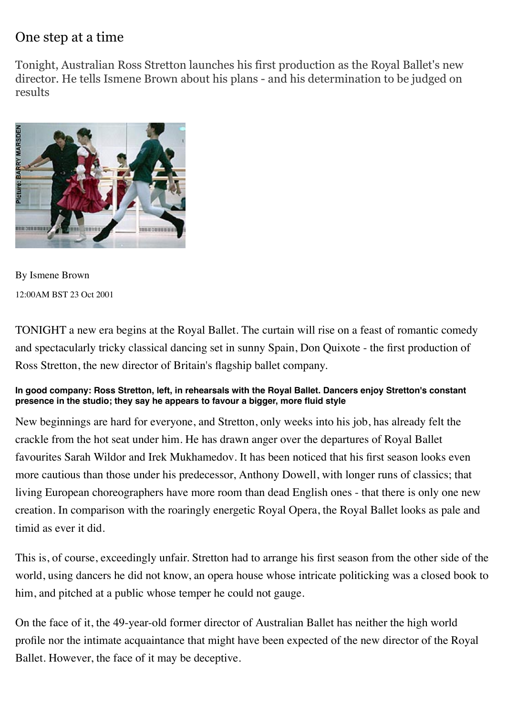## One step at a time

Tonight, Australian Ross Stretton launches his first production as the Royal Ballet's new director. He tells Ismene Brown about his plans - and his determination to be judged on results



By Ismene Brown 12:00AM BST 23 Oct 2001

TONIGHT a new era begins at the Royal Ballet. The curtain will rise on a feast of romantic comedy and spectacularly tricky classical dancing set in sunny Spain, Don Quixote - the first production of Ross Stretton, the new director of Britain's flagship ballet company.

## **In good company: Ross Stretton, left, in rehearsals with the Royal Ballet. Dancers enjoy Stretton's constant presence in the studio; they say he appears to favour a bigger, more fluid style**

New beginnings are hard for everyone, and Stretton, only weeks into his job, has already felt the crackle from the hot seat under him. He has drawn anger over the departures of Royal Ballet [favourites Sarah Wildor and Irek Mukhamedov. It has been noticed that his first season looks](http://www.telegraph.co.uk/arts/main.jhtml?xml=/arts/2001/10/06/btib06.xml) even more cautious than those under [his predecessor, Anthony Dowell](http://www.telegraph.co.uk/arts/main.jhtml?xml=/arts/1998/10/21/btnorm21.xml), with longer runs of classics; that living European choreographers have more room than dead English ones - that there is only one new creation. In comparison with the roaringly energetic Royal Opera, the Royal Ballet looks as pale and timid as ever it did.

This is, of course, exceedingly unfair. Stretton had to arrange his first season from the other side of the world, using dancers he did not know, an opera house whose intricate politicking was a closed book to him, and pitched at a public whose temper he could not gauge.

On the face of it, the 49-year-old former director of Australian Ballet has neither the high world profile nor the intimate acquaintance that might have been expected of the new director of the Royal Ballet. However, the face of it may be deceptive.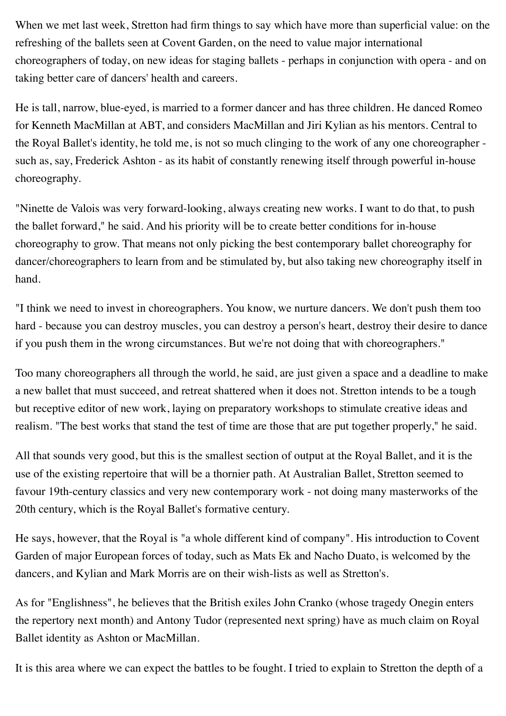When we met last week, Stretton had firm things to say which have more than superficial value: on the refreshing of the ballets seen at Covent Garden, on the need to value major international choreographers of today, on new ideas for staging ballets - perhaps in conjunction with opera - and on taking better care of dancers' health and careers.

He is tall, narrow, blue-eyed, is married to a former dancer and has three children. He danced Romeo for Kenneth MacMillan at ABT, and considers MacMillan and Jiri Kylian as his mentors. Central to [the Royal Ballet's identity, he told me, is not so much clinging to the work of any one choreographer](http://www.telegraph.co.uk/arts/main.jhtml?xml=/arts/1999/07/20/btash20.xml)  such as, say, Frederick Ashton - as its habit of constantly renewing itself through powerful in-house choreography.

"Ninette de Valois was very forward-looking, always creating new works. I want to do that, to push the ballet forward," he said. And his priority will be to create better conditions for in-house choreography to grow. That means not only picking the best contemporary ballet choreography for dancer/choreographers to learn from and be stimulated by, but also taking new choreography itself in hand.

"I think we need to invest in choreographers. You know, we nurture dancers. We don't push them too hard - because you can destroy muscles, you can destroy a person's heart, destroy their desire to dance if you push them in the wrong circumstances. But we're not doing that with choreographers."

Too many choreographers all through the world, he said, are just given a space and a deadline to make a new ballet that must succeed, and retreat shattered when it does not. Stretton intends to be a tough but receptive editor of new work, laying on preparatory workshops to stimulate creative ideas and realism. "The best works that stand the test of time are those that are put together properly," he said.

All that sounds very good, but this is the smallest section of output at the Royal Ballet, and it is the use of the existing repertoire that will be a thornier path. At Australian Ballet, Stretton seemed to favour 19th-century classics and very new contemporary work - not doing many masterworks of the 20th century, which is the Royal Ballet's formative century.

He says, however, that the Royal is "a whole different kind of company". His introduction to Covent Garden of major European forces of today, such as Mats Ek and Nacho Duato, is welcomed by the dancers, and Kylian and Mark Morris are on their wish-lists as well as Stretton's.

As for "Englishness", he believes that the British exiles John Cranko (whose tragedy Onegin enters [the repertory next month\) and Antony Tudor \(represented next spring\) have as much claim on Royal](http://www.telegraph.co.uk/arts/main.jhtml?xml=/arts/2000/10/28/btizz028.xml) Ballet identity as Ashton or MacMillan.

It is this area where we can expect the battles to be fought. I tried to explain to Stretton the depth of a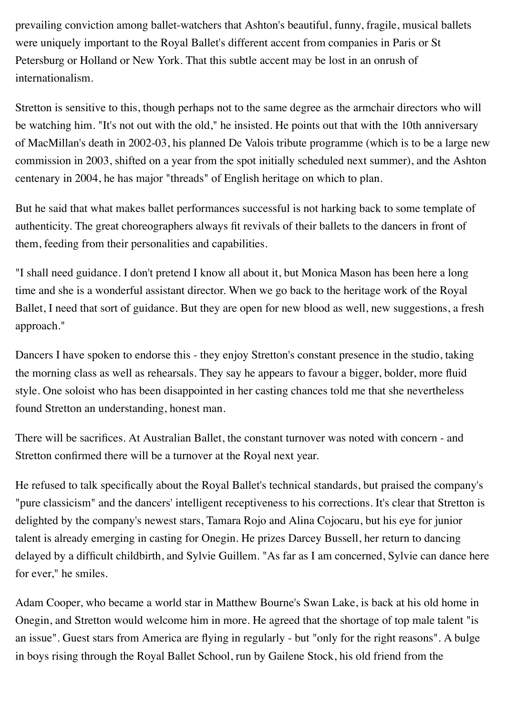prevailing conviction among ballet-watchers that Ashton's beautiful, funny, fragile, musical ballets were uniquely important to the Royal Ballet's different accent from companies in Paris or St Petersburg or Holland or New York. That this subtle accent may be lost in an onrush of internationalism.

Stretton is sensitive to this, though perhaps not to the same degree as the armchair directors who will be watching him. "It's not out with the old," he insisted. He points out that with the 10th anniversary of MacMillan's death in 2002-03, his planned De Valois tribute programme (which is to be a large new commission in 2003, shifted on a year from the spot initially scheduled next summer), and the Ashton centenary in 2004, he has major "threads" of English heritage on which to plan.

But he said that what makes ballet performances successful is not harking back to some template of authenticity. The great choreographers always fit revivals of their ballets to the dancers in front of them, feeding from their personalities and capabilities.

"I shall need guidance. I don't pretend I know all about it, but Monica Mason has been here a long time and she is a wonderful assistant director. When we go back to the heritage work of the Royal Ballet, I need that sort of guidance. But they are open for new blood as well, new suggestions, a fresh approach."

Dancers I have spoken to endorse this - they enjoy Stretton's constant presence in the studio, taking the morning class as well as rehearsals. They say he appears to favour a bigger, bolder, more fluid style. One soloist who has been disappointed in her casting chances told me that she nevertheless found Stretton an understanding, honest man.

There will be sacrifices. At Australian Ballet, the constant turnover was noted with concern - and Stretton confirmed there will be a turnover at the Royal next year.

He refused to talk specifically about the Royal Ballet's technical standards, but praised the company's "pure classicism" and the dancers' intelligent receptiveness to his corrections. It's clear that Stretton is delighted by [the company's newest stars, Tamara Rojo and Alina Cojocaru](http://www.telegraph.co.uk/arts/main.jhtml?xml=/arts/2001/04/06/baball.xml), but his eye for junior talent is already emerging in casting for Onegin. He prizes Darcey Bussell, her return to dancing delayed by a difficult childbirth, and Sylvie Guillem. "As far as I am concerned, Sylvie can dance here for ever," he smiles.

Adam Cooper, who became a world star in [Matthew Bourne's Swan Lake,](http://www.telegraph.co.uk/arts/main.jhtml?xml=/arts/2000/02/09/btisme09.xml) is back at his old home in Onegin, and Stretton would welcome him in more. He agreed that the shortage of top male talent "is an issue". Guest stars from America are flying in regularly - but "only for the right reasons". A bulge in boys rising through the Royal Ballet School, run by Gailene Stock, his old friend from the